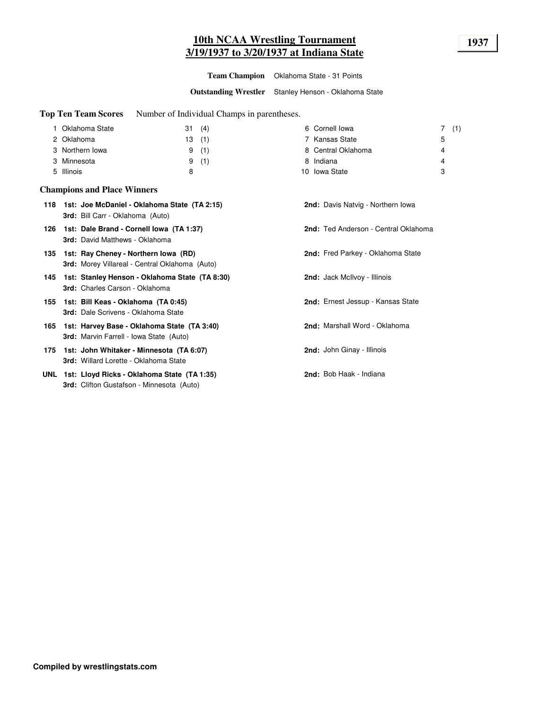# **10th NCAA Wrestling Tournament 1937 3/19/1937 to 3/20/1937 at Indiana State**

**Team Champion** Oklahoma State - 31 Points

**Outstanding Wrestler** Stanley Henson - Oklahoma State

**Top Ten Team Scores** Number of Individual Champs in parentheses.

| Oklahoma State  | (4)<br>31 | 6 Cornell lowa     | (1) |
|-----------------|-----------|--------------------|-----|
| 2 Oklahoma      | (1)<br>13 | 7 Kansas State     | ხ   |
| 3 Northern Iowa | (1)<br>9  | 8 Central Oklahoma | 4   |
| 3 Minnesota     | (1)<br>9  | 8 Indiana          | 4   |
| 5 Illinois      | 8         | 10 Iowa State      | 3   |

## **Champions and Place Winners**

|  | 118 1st: Joe McDaniel - Oklahoma State (TA 2:15)<br><b>3rd:</b> Bill Carr - Oklahoma (Auto)       | <b>2nd:</b> Davis Natvig - Northern Iowa |
|--|---------------------------------------------------------------------------------------------------|------------------------------------------|
|  | 126 1st: Dale Brand - Cornell Iowa (TA 1:37)<br><b>3rd:</b> David Matthews - Oklahoma             | 2nd: Ted Anderson - Central Oklahoma     |
|  | 135 1st: Ray Cheney - Northern Iowa (RD)<br><b>3rd:</b> Morey Villareal - Central Oklahoma (Auto) | 2nd: Fred Parkey - Oklahoma State        |
|  | 145 1st: Stanley Henson - Oklahoma State (TA 8:30)<br><b>3rd:</b> Charles Carson - Oklahoma       | <b>2nd:</b> Jack McIlvoy - Illinois      |
|  | 155 1st: Bill Keas - Oklahoma (TA 0:45)<br><b>3rd:</b> Dale Scrivens - Oklahoma State             | 2nd: Ernest Jessup - Kansas State        |
|  | 165 1st: Harvey Base - Oklahoma State (TA 3:40)<br><b>3rd:</b> Marvin Farrell - Iowa State (Auto) | 2nd: Marshall Word - Oklahoma            |
|  | 175 1st: John Whitaker - Minnesota (TA 6:07)<br><b>3rd:</b> Willard Lorette - Oklahoma State      | <b>2nd:</b> John Ginay - Illinois        |
|  | UNL 1st: Lloyd Ricks - Oklahoma State (TA 1:35)                                                   | 2nd: Bob Haak - Indiana                  |

**3rd:** Clifton Gustafson - Minnesota (Auto)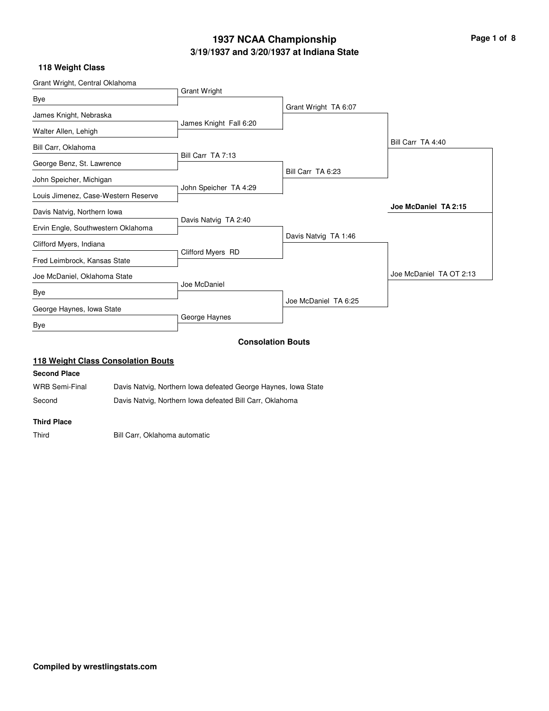# **3/19/1937 and 3/20/1937 at Indiana State 1937 NCAA Championship Page 1 of 8**

## **118 Weight Class**

| Grant Wright, Central Oklahoma      |                        |                          |                         |
|-------------------------------------|------------------------|--------------------------|-------------------------|
|                                     | Grant Wright           |                          |                         |
| <b>Bye</b>                          |                        | Grant Wright TA 6:07     |                         |
| James Knight, Nebraska              |                        |                          |                         |
| Walter Allen, Lehigh                | James Knight Fall 6:20 |                          |                         |
| Bill Carr, Oklahoma                 |                        |                          | Bill Carr TA 4:40       |
| George Benz, St. Lawrence           | Bill Carr TA 7:13      |                          |                         |
| John Speicher, Michigan             |                        | Bill Carr TA 6:23        |                         |
|                                     | John Speicher TA 4:29  |                          |                         |
| Louis Jimenez, Case-Western Reserve |                        |                          |                         |
| Davis Natvig, Northern Iowa         |                        |                          | Joe McDaniel TA 2:15    |
| Ervin Engle, Southwestern Oklahoma  | Davis Natvig TA 2:40   |                          |                         |
|                                     |                        | Davis Natvig TA 1:46     |                         |
| Clifford Myers, Indiana             |                        |                          |                         |
| Fred Leimbrock, Kansas State        | Clifford Myers RD      |                          |                         |
| Joe McDaniel, Oklahoma State        |                        |                          | Joe McDaniel TA OT 2:13 |
| Bye                                 | Joe McDaniel           |                          |                         |
| George Haynes, Iowa State           |                        | Joe McDaniel TA 6:25     |                         |
| Bye                                 | George Haynes          |                          |                         |
|                                     |                        | <b>Consolation Bouts</b> |                         |

# **118 Weight Class Consolation Bouts**

## **Second Place**

WRB Semi-Final Davis Natvig, Northern Iowa defeated George Haynes, Iowa State Second Davis Natvig, Northern Iowa defeated Bill Carr, Oklahoma

#### **Third Place**

Third Bill Carr, Oklahoma automatic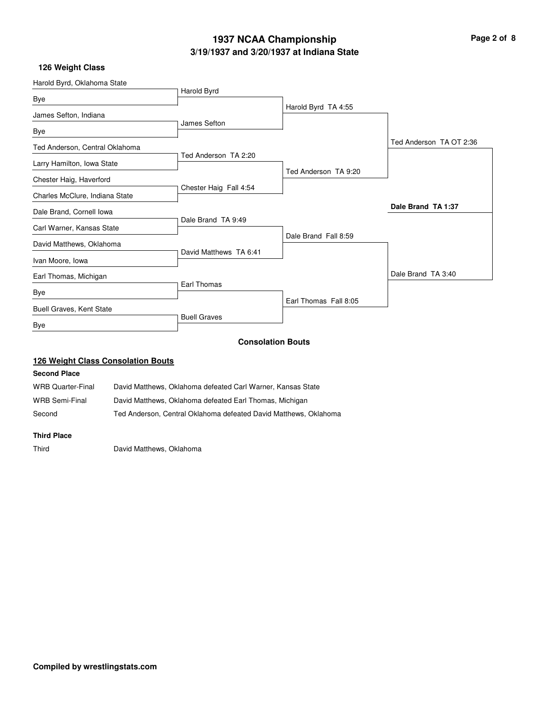# **3/19/1937 and 3/20/1937 at Indiana State 1937 NCAA Championship Page 2 of 8**

# **126 Weight Class**

| Harold Byrd, Oklahoma State     |                        |                          |                          |
|---------------------------------|------------------------|--------------------------|--------------------------|
|                                 | Harold Byrd            |                          |                          |
| Bye                             |                        | Harold Byrd TA 4:55      |                          |
| James Sefton, Indiana           |                        |                          |                          |
| <b>Bye</b>                      | James Sefton           |                          |                          |
| Ted Anderson, Central Oklahoma  |                        |                          | Ted Anderson, TA OT 2:36 |
|                                 | Ted Anderson TA 2:20   |                          |                          |
| Larry Hamilton, Iowa State      |                        | Ted Anderson TA 9:20     |                          |
| Chester Haig, Haverford         | Chester Haig Fall 4:54 |                          |                          |
| Charles McClure, Indiana State  |                        |                          |                          |
| Dale Brand, Cornell Iowa        |                        |                          | Dale Brand TA 1:37       |
|                                 | Dale Brand TA 9:49     |                          |                          |
| Carl Warner, Kansas State       |                        | Dale Brand Fall 8:59     |                          |
| David Matthews, Oklahoma        |                        |                          |                          |
| Ivan Moore, Iowa                | David Matthews TA 6:41 |                          |                          |
| Earl Thomas, Michigan           |                        |                          | Dale Brand TA 3:40       |
|                                 | Earl Thomas            |                          |                          |
| Bye                             |                        | Earl Thomas Fall 8:05    |                          |
| <b>Buell Graves, Kent State</b> |                        |                          |                          |
| Bye                             | <b>Buell Graves</b>    |                          |                          |
|                                 |                        | <b>Consolation Bouts</b> |                          |

# **126 Weight Class Consolation Bouts**

## **Second Place**

| WRB Quarter-Final | David Matthews, Oklahoma defeated Carl Warner, Kansas State      |
|-------------------|------------------------------------------------------------------|
| WRB Semi-Final    | David Matthews, Oklahoma defeated Earl Thomas, Michigan          |
| Second            | Ted Anderson. Central Oklahoma defeated David Matthews. Oklahoma |

#### **Third Place**

Third David Matthews, Oklahoma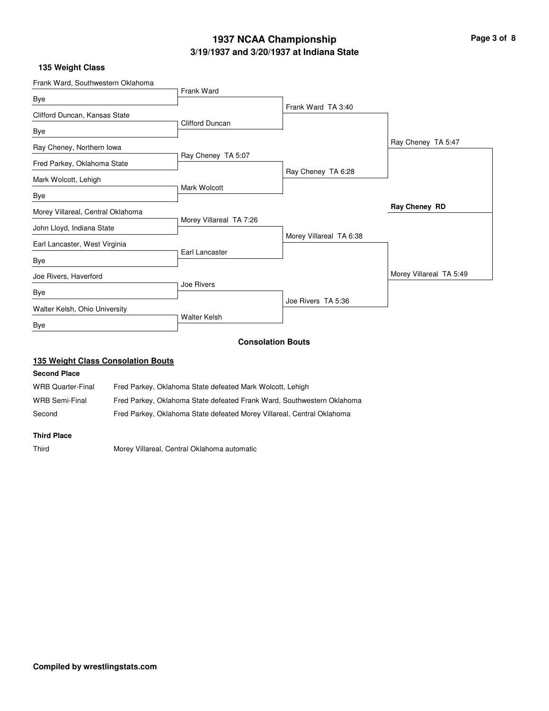# **3/19/1937 and 3/20/1937 at Indiana State 1937 NCAA Championship Page 3 of 8**

## **135 Weight Class**

| Frank Ward, Southwestern Oklahoma |                         |                          |                         |
|-----------------------------------|-------------------------|--------------------------|-------------------------|
| Bye                               | Frank Ward              |                          |                         |
|                                   |                         | Frank Ward TA 3:40       |                         |
| Clifford Duncan, Kansas State     | <b>Clifford Duncan</b>  |                          |                         |
| Bye                               |                         |                          |                         |
| Ray Cheney, Northern Iowa         |                         |                          | Ray Cheney TA 5:47      |
|                                   | Ray Cheney TA 5:07      |                          |                         |
| Fred Parkey, Oklahoma State       |                         | Ray Cheney TA 6:28       |                         |
| Mark Wolcott, Lehigh              |                         |                          |                         |
| Bye                               | Mark Wolcott            |                          |                         |
| Morey Villareal, Central Oklahoma |                         |                          | Ray Cheney RD           |
|                                   | Morey Villareal TA 7:26 |                          |                         |
| John Lloyd, Indiana State         |                         | Morey Villareal TA 6:38  |                         |
| Earl Lancaster, West Virginia     |                         |                          |                         |
| Bye                               | Earl Lancaster          |                          |                         |
| Joe Rivers, Haverford             |                         |                          | Morey Villareal TA 5:49 |
|                                   | Joe Rivers              |                          |                         |
| Bye                               |                         | Joe Rivers TA 5:36       |                         |
| Walter Kelsh, Ohio University     |                         |                          |                         |
| Bye                               | <b>Walter Kelsh</b>     |                          |                         |
|                                   |                         | <b>Consolation Bouts</b> |                         |

# **135 Weight Class Consolation Bouts**

## **Second Place**

| <b>WRB Quarter-Final</b> | Fred Parkey, Oklahoma State defeated Mark Wolcott, Lehigh              |
|--------------------------|------------------------------------------------------------------------|
| WRB Semi-Final           | Fred Parkey, Oklahoma State defeated Frank Ward, Southwestern Oklahoma |
| Second                   | Fred Parkey, Oklahoma State defeated Morey Villareal, Central Oklahoma |

#### **Third Place**

Third Morey Villareal, Central Oklahoma automatic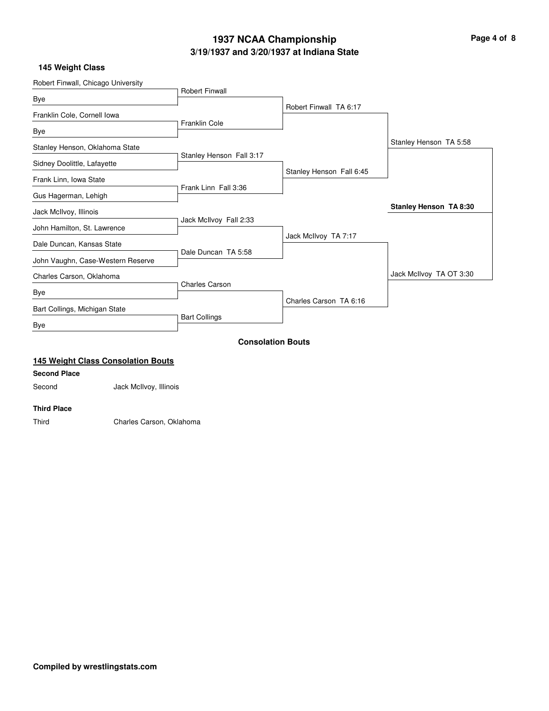# **3/19/1937 and 3/20/1937 at Indiana State 1937 NCAA Championship Page 4 of 8**

## **145 Weight Class**

| Robert Finwall, Chicago University |                          |                          |                         |
|------------------------------------|--------------------------|--------------------------|-------------------------|
|                                    | <b>Robert Finwall</b>    |                          |                         |
| Bye                                |                          | Robert Finwall TA 6:17   |                         |
| Franklin Cole, Cornell Iowa        |                          |                          |                         |
| Bye                                | <b>Franklin Cole</b>     |                          |                         |
| Stanley Henson, Oklahoma State     |                          |                          | Stanley Henson TA 5:58  |
|                                    | Stanley Henson Fall 3:17 |                          |                         |
| Sidney Doolittle, Lafayette        |                          | Stanley Henson Fall 6:45 |                         |
| Frank Linn, Iowa State             | Frank Linn Fall 3:36     |                          |                         |
| Gus Hagerman, Lehigh               |                          |                          |                         |
| Jack McIlvoy, Illinois             |                          |                          | Stanley Henson TA 8:30  |
|                                    | Jack McIlvoy Fall 2:33   |                          |                         |
| John Hamilton, St. Lawrence        |                          | Jack McIlvoy TA 7:17     |                         |
| Dale Duncan, Kansas State          |                          |                          |                         |
| John Vaughn, Case-Western Reserve  | Dale Duncan TA 5:58      |                          |                         |
| Charles Carson, Oklahoma           |                          |                          | Jack McIlvoy TA OT 3:30 |
|                                    | <b>Charles Carson</b>    |                          |                         |
| Bye                                |                          | Charles Carson TA 6:16   |                         |
| Bart Collings, Michigan State      |                          |                          |                         |
| <b>Bye</b>                         | <b>Bart Collings</b>     |                          |                         |
|                                    |                          | <b>Consolation Bouts</b> |                         |

# **145 Weight Class Consolation Bouts**

## **Second Place**

Second Jack McIlvoy, Illinois

#### **Third Place**

Third Charles Carson, Oklahoma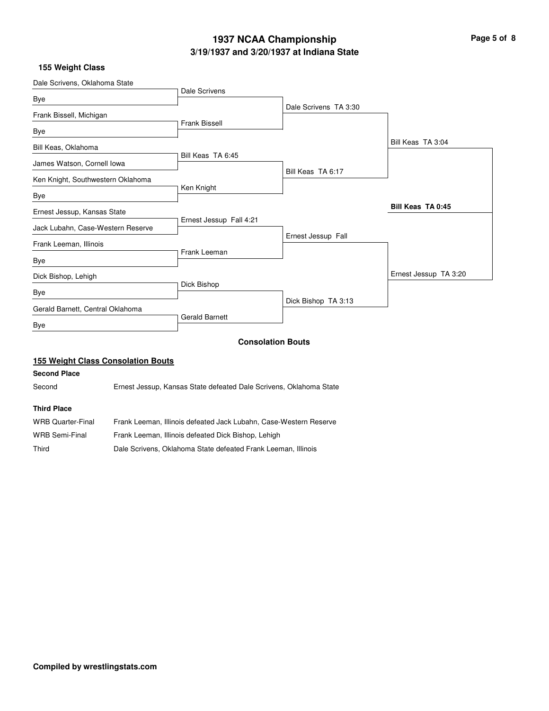# **3/19/1937 and 3/20/1937 at Indiana State 1937 NCAA Championship Page 5 of 8**

## **155 Weight Class**

| Dale Scrivens, Oklahoma State     |                         |                          |                       |
|-----------------------------------|-------------------------|--------------------------|-----------------------|
|                                   | Dale Scrivens           |                          |                       |
| Bye                               |                         | Dale Scrivens TA 3:30    |                       |
| Frank Bissell, Michigan           | <b>Frank Bissell</b>    |                          |                       |
| Bye                               |                         |                          |                       |
| Bill Keas, Oklahoma               |                         |                          | Bill Keas TA 3:04     |
| James Watson, Cornell Iowa        | Bill Keas TA 6:45       |                          |                       |
| Ken Knight, Southwestern Oklahoma |                         | Bill Keas TA 6:17        |                       |
| Bye                               | Ken Knight              |                          |                       |
| Ernest Jessup, Kansas State       |                         |                          | Bill Keas TA 0:45     |
| Jack Lubahn, Case-Western Reserve | Ernest Jessup Fall 4:21 |                          |                       |
| Frank Leeman, Illinois            |                         | Ernest Jessup Fall       |                       |
| Bye                               | Frank Leeman            |                          |                       |
| Dick Bishop, Lehigh               |                         |                          | Ernest Jessup TA 3:20 |
| Bye                               | Dick Bishop             |                          |                       |
| Gerald Barnett, Central Oklahoma  |                         | Dick Bishop TA 3:13      |                       |
| Bye                               | <b>Gerald Barnett</b>   |                          |                       |
|                                   |                         | <b>Consolation Bouts</b> |                       |

# **155 Weight Class Consolation Bouts**

# **Second Place**

Second Ernest Jessup, Kansas State defeated Dale Scrivens, Oklahoma State

#### **Third Place**

| WRB Quarter-Final | Frank Leeman, Illinois defeated Jack Lubahn, Case-Western Reserve |
|-------------------|-------------------------------------------------------------------|
| WRB Semi-Final    | Frank Leeman, Illinois defeated Dick Bishop, Lehigh               |
| Third             | Dale Scrivens. Oklahoma State defeated Frank Leeman. Illinois     |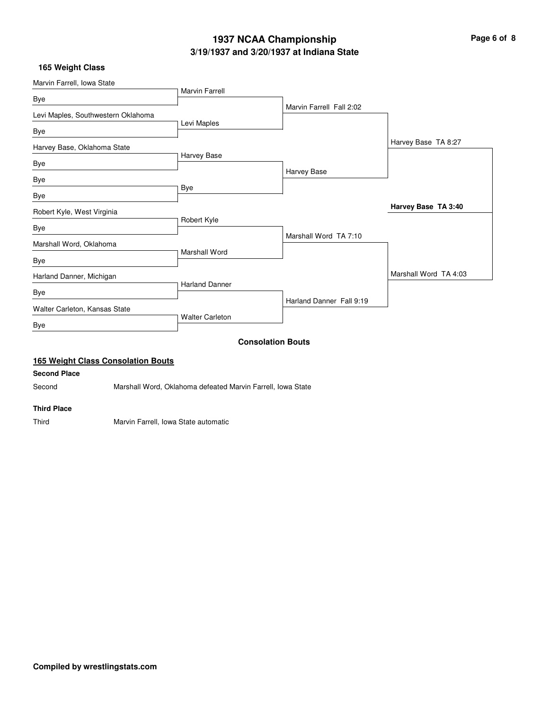# **3/19/1937 and 3/20/1937 at Indiana State 1937 NCAA Championship Page 6 of 8**

## **165 Weight Class**

| Marvin Farrell, Iowa State         |                        |                          |                       |
|------------------------------------|------------------------|--------------------------|-----------------------|
|                                    | <b>Marvin Farrell</b>  |                          |                       |
| Bye                                |                        | Marvin Farrell Fall 2:02 |                       |
| Levi Maples, Southwestern Oklahoma |                        |                          |                       |
| Bye                                | Levi Maples            |                          |                       |
| Harvey Base, Oklahoma State        |                        |                          | Harvey Base TA 8:27   |
|                                    | Harvey Base            |                          |                       |
| Bye                                |                        | Harvey Base              |                       |
| Bye                                |                        |                          |                       |
| Bye                                | Bye                    |                          |                       |
| Robert Kyle, West Virginia         |                        |                          | Harvey Base TA 3:40   |
| Bye                                | Robert Kyle            |                          |                       |
| Marshall Word, Oklahoma            |                        | Marshall Word TA 7:10    |                       |
|                                    | Marshall Word          |                          |                       |
| <b>Bye</b>                         |                        |                          |                       |
| Harland Danner, Michigan           |                        |                          | Marshall Word TA 4:03 |
| <b>Bye</b>                         | <b>Harland Danner</b>  |                          |                       |
| Walter Carleton, Kansas State      |                        | Harland Danner Fall 9:19 |                       |
| Bye                                | <b>Walter Carleton</b> |                          |                       |
|                                    |                        | <b>Consolation Bouts</b> |                       |

# **165 Weight Class Consolation Bouts**

## **Second Place**

Second Marshall Word, Oklahoma defeated Marvin Farrell, Iowa State

#### **Third Place**

Third Marvin Farrell, Iowa State automatic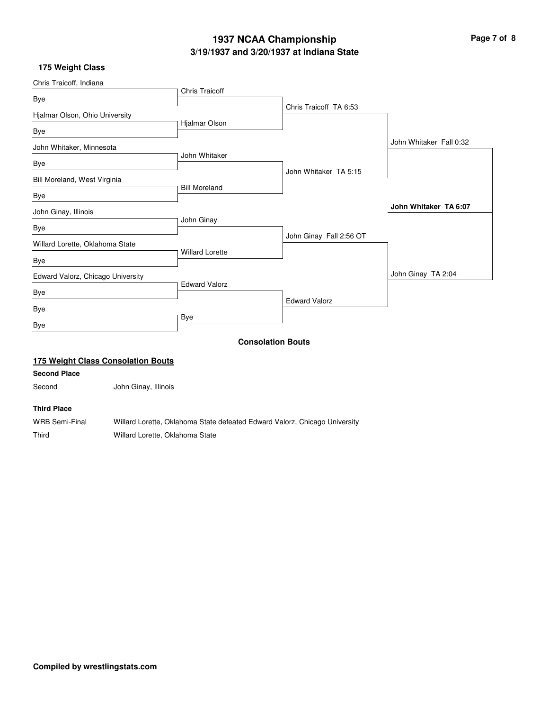# **3/19/1937 and 3/20/1937 at Indiana State 1937 NCAA Championship Page 7 of 8**

# **175 Weight Class**

| Chris Traicoff, Indiana               |                                           |                                                                            |                          |                         |
|---------------------------------------|-------------------------------------------|----------------------------------------------------------------------------|--------------------------|-------------------------|
| Bye                                   |                                           | <b>Chris Traicoff</b>                                                      |                          |                         |
|                                       |                                           |                                                                            | Chris Traicoff TA 6:53   |                         |
| Hjalmar Olson, Ohio University<br>Bye |                                           | Hjalmar Olson                                                              |                          |                         |
| John Whitaker, Minnesota              |                                           |                                                                            |                          | John Whitaker Fall 0:32 |
| Bye                                   |                                           | John Whitaker                                                              |                          |                         |
| Bill Moreland, West Virginia          |                                           |                                                                            | John Whitaker TA 5:15    |                         |
| Bye                                   |                                           | <b>Bill Moreland</b>                                                       |                          |                         |
| John Ginay, Illinois                  |                                           |                                                                            |                          | John Whitaker TA 6:07   |
| Bye                                   |                                           | John Ginay                                                                 |                          |                         |
| Willard Lorette, Oklahoma State       |                                           |                                                                            | John Ginay Fall 2:56 OT  |                         |
| Bye                                   |                                           | <b>Willard Lorette</b>                                                     |                          |                         |
| Edward Valorz, Chicago University     |                                           |                                                                            |                          | John Ginay TA 2:04      |
|                                       |                                           | <b>Edward Valorz</b>                                                       |                          |                         |
| Bye                                   |                                           |                                                                            | <b>Edward Valorz</b>     |                         |
| Bye                                   |                                           | Bye                                                                        |                          |                         |
| Bye                                   |                                           |                                                                            |                          |                         |
|                                       |                                           |                                                                            | <b>Consolation Bouts</b> |                         |
|                                       | <b>175 Weight Class Consolation Bouts</b> |                                                                            |                          |                         |
| <b>Second Place</b>                   |                                           |                                                                            |                          |                         |
| Second                                | John Ginay, Illinois                      |                                                                            |                          |                         |
| <b>Third Place</b>                    |                                           |                                                                            |                          |                         |
| <b>WRB Semi-Final</b>                 |                                           | Willard Lorette, Oklahoma State defeated Edward Valorz, Chicago University |                          |                         |
| Third                                 | Willard Lorette, Oklahoma State           |                                                                            |                          |                         |